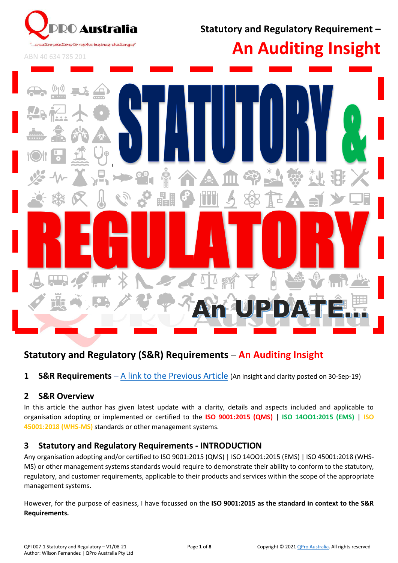

**Statutory and Regulatory Requirement –**

ABN 40 634 785 201





# **Statutory and Regulatory (S&R) Requirements** – **An Auditing Insight**

**1 S&R Requirements** – [A link to the Previous Article](https://www.qproaustralia.com.au/ms-information.html) (An insight and clarity posted on 30-Sep-19)

#### **2 S&R Overview**

In this article the author has given latest update with a clarity, details and aspects included and applicable to organisation adopting or implemented or certified to the **ISO 9001:2015 (QMS)** | **ISO 14OO1:2015 (EMS)** | **ISO 45001:2018 (WHS-MS)** standards or other management systems.

#### **3 Statutory and Regulatory Requirements - INTRODUCTION**

Any organisation adopting and/or certified to ISO 9001:2015 (QMS) | ISO 14OO1:2015 (EMS) | ISO 45001:2018 (WHS-MS) or other management systems standards would require to demonstrate their ability to conform to the statutory, regulatory, and customer requirements, applicable to their products and services within the scope of the appropriate management systems.

However, for the purpose of easiness, I have focussed on the **ISO 9001:2015 as the standard in context to the S&R Requirements.**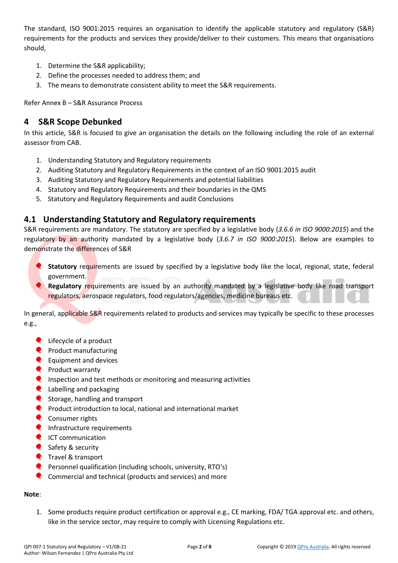The standard, ISO 9001:2015 requires an organisation to identify the applicable statutory and regulatory (S&R) requirements for the products and services they provide/deliver to their customers. This means that organisations should,

- 1. Determine the S&R applicability;
- 2. Define the processes needed to address them; and
- 3. The means to demonstrate consistent ability to meet the S&R requirements.

Refer Annex B – S&R Assurance Process

## **4 S&R Scope Debunked**

In this article, S&R is focused to give an organisation the details on the following including the role of an external assessor from CAB.

- 1. Understanding Statutory and Regulatory requirements
- 2. Auditing Statutory and Regulatory Requirements in the context of an ISO 9001:2015 audit
- 3. Auditing Statutory and Regulatory Requirements and potential liabilities
- 4. Statutory and Regulatory Requirements and their boundaries in the QMS
- 5. Statutory and Regulatory Requirements and audit Conclusions

#### **4.1 Understanding Statutory and Regulatory requirements**

S&R requirements are mandatory. The statutory are specified by a legislative body (*3.6.6 in ISO 9000:2015*) and the regulatory by an authority mandated by a legislative body (*3.6.7 in ISO 9000:2015*). Below are examples to demonstrate the differences of S&R

- **Statutory** requirements are issued by specified by a legislative body like the local, regional, state, federal government.
- **Regulatory requirements are issued by an authority mandated by a legislative body like road transport** regulators, aerospace regulators, food regulators/agencies, medicine bureaus etc.

In general, applicable S&R requirements related to products and services may typically be specific to these processes e.g.,

- **Q** Lifecycle of a product
- $\bullet$  Product manufacturing
- $\bullet$  Equipment and devices
- **Product warranty**
- **Q** Inspection and test methods or monitoring and measuring activities
- **Q** Labelling and packaging
- Storage, handling and transport
- **Q** Product introduction to local, national and international market
- **Q** Consumer rights
- **Q** Infrastructure requirements
- C ICT communication
- Safety & security
- **Q** Travel & transport
- **Personnel qualification (including schools, university, RTO's)**
- Commercial and technical (products and services) and more

#### **Note**:

1. Some products require product certification or approval e.g., CE marking, FDA/ TGA approval etc. and others, like in the service sector, may require to comply with Licensing Regulations etc.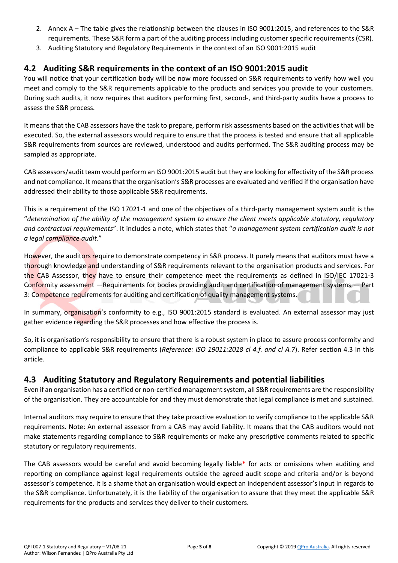- 2. Annex A The table gives the relationship between the clauses in ISO 9001:2015, and references to the S&R requirements. These S&R form a part of the auditing process including customer specific requirements (CSR).
- 3. Auditing Statutory and Regulatory Requirements in the context of an ISO 9001:2015 audit

## **4.2 Auditing S&R requirements in the context of an ISO 9001:2015 audit**

You will notice that your certification body will be now more focussed on S&R requirements to verify how well you meet and comply to the S&R requirements applicable to the products and services you provide to your customers. During such audits, it now requires that auditors performing first, second-, and third-party audits have a process to assess the S&R process.

It means that the CAB assessors have the task to prepare, perform risk assessments based on the activities that will be executed. So, the external assessors would require to ensure that the process is tested and ensure that all applicable S&R requirements from sources are reviewed, understood and audits performed. The S&R auditing process may be sampled as appropriate.

CAB assessors/audit team would perform an ISO 9001:2015 audit but they are looking for effectivity of the S&R process and not compliance. It means that the organisation's S&R processes are evaluated and verified if the organisation have addressed their ability to those applicable S&R requirements.

This is a requirement of the ISO 17021-1 and one of the objectives of a third-party management system audit is the "*determination of the ability of the management system to ensure the client meets applicable statutory, regulatory and contractual requirements*". It includes a note, which states that "*a management system certification audit is not a legal compliance audit.*"

However, the auditors require to demonstrate competency in S&R process. It purely means that auditors must have a thorough knowledge and understanding of S&R requirements relevant to the organisation products and services. For the CAB Assessor, they have to ensure their competence meet the requirements as defined in ISO/IEC 17021-3 Conformity assessment —Requirements for bodies providing audit and certification of management systems — Part 3: Competence requirements for auditing and certification of quality management systems.

In summary, organisation's conformity to e.g., ISO 9001:2015 standard is evaluated. An external assessor may just gather evidence regarding the S&R processes and how effective the process is.

So, it is organisation's responsibility to ensure that there is a robust system in place to assure process conformity and compliance to applicable S&R requirements (*Reference: ISO 19011:2018 cl 4.f. and cl A.7*). Refer section 4.3 in this article.

## **4.3 Auditing Statutory and Regulatory Requirements and potential liabilities**

Even if an organisation has a certified or non-certified management system, all S&R requirements are the responsibility of the organisation. They are accountable for and they must demonstrate that legal compliance is met and sustained.

Internal auditors may require to ensure that they take proactive evaluation to verify compliance to the applicable S&R requirements. Note: An external assessor from a CAB may avoid liability. It means that the CAB auditors would not make statements regarding compliance to S&R requirements or make any prescriptive comments related to specific statutory or regulatory requirements.

The CAB assessors would be careful and avoid becoming legally liable**\*** for acts or omissions when auditing and reporting on compliance against legal requirements outside the agreed audit scope and criteria and/or is beyond assessor's competence. It is a shame that an organisation would expect an independent assessor's input in regards to the S&R compliance. Unfortunately, it is the liability of the organisation to assure that they meet the applicable S&R requirements for the products and services they deliver to their customers.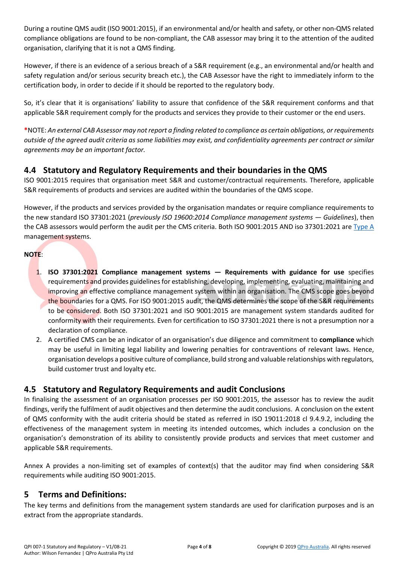During a routine QMS audit (ISO 9001:2015), if an environmental and/or health and safety, or other non-QMS related compliance obligations are found to be non-compliant, the CAB assessor may bring it to the attention of the audited organisation, clarifying that it is not a QMS finding.

However, if there is an evidence of a serious breach of a S&R requirement (e.g., an environmental and/or health and safety regulation and/or serious security breach etc.), the CAB Assessor have the right to immediately inform to the certification body, in order to decide if it should be reported to the regulatory body.

So, it's clear that it is organisations' liability to assure that confidence of the S&R requirement conforms and that applicable S&R requirement comply for the products and services they provide to their customer or the end users.

**\***NOTE: *An external CAB Assessor may notreport a finding related to compliance as certain obligations, or requirements outside of the agreed audit criteria as some liabilities may exist, and confidentiality agreements per contract or similar agreements may be an important factor.*

## **4.4 Statutory and Regulatory Requirements and their boundaries in the QMS**

ISO 9001:2015 requires that organisation meet S&R and customer/contractual requirements. Therefore, applicable S&R requirements of products and services are audited within the boundaries of the QMS scope.

However, if the products and services provided by the organisation mandates or require compliance requirements to the new standard ISO 37301:2021 (*previously ISO 19600:2014 Compliance management systems — Guidelines*), then the CAB assessors would perform the audit per the CMS criteria. Both ISO 9001:2015 AND iso 37301:2021 are [Type A](https://www.iso.org/management-system-standards-list.html#TypeAB) management systems.

#### **NOTE**:

- 1. **ISO 37301:2021 Compliance management systems — Requirements with guidance for use** specifies requirements and provides guidelines for establishing, developing, implementing, evaluating, maintaining and improving an effective compliance management system within an organisation. The CMS scope goes beyond the boundaries for a QMS. For ISO 9001:2015 audit, the QMS determines the scope of the S&R requirements to be considered. Both ISO 37301:2021 and ISO 9001:2015 are management system standards audited for conformity with their requirements. Even for certification to ISO 37301:2021 there is not a presumption nor a declaration of compliance.
- 2. A certified CMS can be an indicator of an organisation's due diligence and commitment to **compliance** which may be useful in limiting legal liability and lowering penalties for contraventions of relevant laws. Hence, organisation develops a positive culture of compliance, build strong and valuable relationships with regulators, build customer trust and loyalty etc.

#### **4.5 Statutory and Regulatory Requirements and audit Conclusions**

In finalising the assessment of an organisation processes per ISO 9001:2015, the assessor has to review the audit findings, verify the fulfilment of audit objectives and then determine the audit conclusions. A conclusion on the extent of QMS conformity with the audit criteria should be stated as referred in ISO 19011:2018 cl 9.4.9.2, including the effectiveness of the management system in meeting its intended outcomes, which includes a conclusion on the organisation's demonstration of its ability to consistently provide products and services that meet customer and applicable S&R requirements.

Annex A provides a non-limiting set of examples of context(s) that the auditor may find when considering S&R requirements while auditing ISO 9001:2015.

## **5 Terms and Definitions:**

The key terms and definitions from the management system standards are used for clarification purposes and is an extract from the appropriate standards.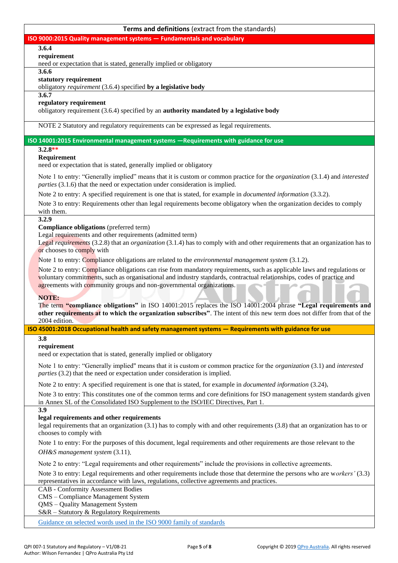| Terms and definitions (extract from the standards)                                                                                                                                                                        |  |  |  |  |
|---------------------------------------------------------------------------------------------------------------------------------------------------------------------------------------------------------------------------|--|--|--|--|
| ISO 9000:2015 Quality management systems - Fundamentals and vocabulary                                                                                                                                                    |  |  |  |  |
| 3.6.4                                                                                                                                                                                                                     |  |  |  |  |
| requirement                                                                                                                                                                                                               |  |  |  |  |
| need or expectation that is stated, generally implied or obligatory<br>3.6.6                                                                                                                                              |  |  |  |  |
| statutory requirement                                                                                                                                                                                                     |  |  |  |  |
| obligatory requirement (3.6.4) specified by a legislative body                                                                                                                                                            |  |  |  |  |
| 3.6.7                                                                                                                                                                                                                     |  |  |  |  |
| regulatory requirement                                                                                                                                                                                                    |  |  |  |  |
| obligatory requirement (3.6.4) specified by an authority mandated by a legislative body                                                                                                                                   |  |  |  |  |
| NOTE 2 Statutory and regulatory requirements can be expressed as legal requirements.                                                                                                                                      |  |  |  |  |
| ISO 14001:2015 Environmental management systems -Requirements with guidance for use                                                                                                                                       |  |  |  |  |
| $3.2.8**$                                                                                                                                                                                                                 |  |  |  |  |
| Requirement                                                                                                                                                                                                               |  |  |  |  |
| need or expectation that is stated, generally implied or obligatory                                                                                                                                                       |  |  |  |  |
| Note 1 to entry: "Generally implied" means that it is custom or common practice for the <i>organization</i> (3.1.4) and <i>interested</i><br>parties (3.1.6) that the need or expectation under consideration is implied. |  |  |  |  |
| Note 2 to entry: A specified requirement is one that is stated, for example in <i>documented information</i> (3.3.2).                                                                                                     |  |  |  |  |
| Note 3 to entry: Requirements other than legal requirements become obligatory when the organization decides to comply                                                                                                     |  |  |  |  |
| with them.                                                                                                                                                                                                                |  |  |  |  |
| 3.2.9                                                                                                                                                                                                                     |  |  |  |  |
| <b>Compliance obligations</b> (preferred term)<br>Legal requirements and other requirements (admitted term)                                                                                                               |  |  |  |  |
| Legal requirements (3.2.8) that an organization (3.1.4) has to comply with and other requirements that an organization has to                                                                                             |  |  |  |  |
| or chooses to comply with                                                                                                                                                                                                 |  |  |  |  |
| Note 1 to entry: Compliance obligations are related to the <i>environmental management system</i> (3.1.2).                                                                                                                |  |  |  |  |
| Note 2 to entry: Compliance obligations can rise from mandatory requirements, such as applicable laws and regulations or                                                                                                  |  |  |  |  |
| voluntary commitments, such as organisational and industry standards, contractual relationships, codes of practice and                                                                                                    |  |  |  |  |
| agreements with community groups and non-governmental organizations.                                                                                                                                                      |  |  |  |  |
| NOTE:                                                                                                                                                                                                                     |  |  |  |  |
| The term "compliance obligations" in ISO 14001:2015 replaces the ISO 14001:2004 phrase "Legal requirements and                                                                                                            |  |  |  |  |
| other requirements at to which the organization subscribes". The intent of this new term does not differ from that of the<br>2004 edition.                                                                                |  |  |  |  |
| ISO 45001:2018 Occupational health and safety management systems - Requirements with guidance for use                                                                                                                     |  |  |  |  |
| 3.8                                                                                                                                                                                                                       |  |  |  |  |
| requirement                                                                                                                                                                                                               |  |  |  |  |
| need or expectation that is stated, generally implied or obligatory                                                                                                                                                       |  |  |  |  |
| Note 1 to entry: "Generally implied" means that it is custom or common practice for the <i>organization</i> (3.1) and <i>interested</i>                                                                                   |  |  |  |  |
| parties (3.2) that the need or expectation under consideration is implied.                                                                                                                                                |  |  |  |  |
| Note 2 to entry: A specified requirement is one that is stated, for example in <i>documented information</i> (3.24),                                                                                                      |  |  |  |  |
| Note 3 to entry: This constitutes one of the common terms and core definitions for ISO management system standards given                                                                                                  |  |  |  |  |
| in Annex SL of the Consolidated ISO Supplement to the ISO/IEC Directives, Part 1.                                                                                                                                         |  |  |  |  |
| 3.9                                                                                                                                                                                                                       |  |  |  |  |
| legal requirements and other requirements<br>legal requirements that an organization (3.1) has to comply with and other requirements (3.8) that an organization has to or                                                 |  |  |  |  |
| chooses to comply with                                                                                                                                                                                                    |  |  |  |  |
| Note 1 to entry: For the purposes of this document, legal requirements and other requirements are those relevant to the                                                                                                   |  |  |  |  |
| OH&S management system (3.11).                                                                                                                                                                                            |  |  |  |  |
| Note 2 to entry: "Legal requirements and other requirements" include the provisions in collective agreements.                                                                                                             |  |  |  |  |
| Note 3 to entry: Legal requirements and other requirements include those that determine the persons who are workers' (3.3)                                                                                                |  |  |  |  |
| representatives in accordance with laws, regulations, collective agreements and practices.                                                                                                                                |  |  |  |  |
| <b>CAB</b> - Conformity Assessment Bodies                                                                                                                                                                                 |  |  |  |  |
| CMS - Compliance Management System                                                                                                                                                                                        |  |  |  |  |
| QMS - Quality Management System                                                                                                                                                                                           |  |  |  |  |
| S&R - Statutory & Regulatory Requirements                                                                                                                                                                                 |  |  |  |  |
| Guidance on selected words used in the ISO 9000 family of standards                                                                                                                                                       |  |  |  |  |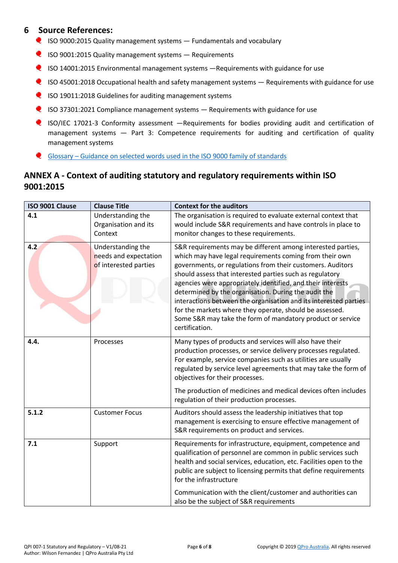#### **6 Source References:**

- $\bullet$  ISO 9000:2015 Quality management systems  $-$  Fundamentals and vocabulary
- ISO 9001:2015 Quality management systems Requirements
- ISO 14001:2015 Environmental management systems —Requirements with guidance for use
- **Q** ISO 45001:2018 Occupational health and safety management systems Requirements with guidance for use
- $\bullet$  ISO 19011:2018 Guidelines for auditing management systems
- $\bullet$  ISO 37301:2021 Compliance management systems  $-$  Requirements with guidance for use
- **Q** ISO/IEC 17021-3 Conformity assessment -Requirements for bodies providing audit and certification of management systems — Part 3: Competence requirements for auditing and certification of quality management systems
- Glossary [Guidance on selected words used in the ISO 9000 family of standards](https://www.iso.org/files/live/sites/isoorg/files/standards/docs/en/terminology-ISO9000-family.pdf)

## **ANNEX A - Context of auditing statutory and regulatory requirements within ISO 9001:2015**

| ISO 9001 Clause | <b>Clause Title</b>                                                 | <b>Context for the auditors</b>                                                                                                                                                                                                                                                                                                                                                                                                                                                                                                                                                        |
|-----------------|---------------------------------------------------------------------|----------------------------------------------------------------------------------------------------------------------------------------------------------------------------------------------------------------------------------------------------------------------------------------------------------------------------------------------------------------------------------------------------------------------------------------------------------------------------------------------------------------------------------------------------------------------------------------|
| 4.1             | Understanding the<br>Organisation and its<br>Context                | The organisation is required to evaluate external context that<br>would include S&R requirements and have controls in place to<br>monitor changes to these requirements.                                                                                                                                                                                                                                                                                                                                                                                                               |
| 4.2             | Understanding the<br>needs and expectation<br>of interested parties | S&R requirements may be different among interested parties,<br>which may have legal requirements coming from their own<br>governments, or regulations from their customers. Auditors<br>should assess that interested parties such as regulatory<br>agencies were appropriately identified, and their interests<br>determined by the organisation. During the audit the<br>interactions between the organisation and its interested parties<br>for the markets where they operate, should be assessed.<br>Some S&R may take the form of mandatory product or service<br>certification. |
| 4.4.            | Processes                                                           | Many types of products and services will also have their<br>production processes, or service delivery processes regulated.<br>For example, service companies such as utilities are usually<br>regulated by service level agreements that may take the form of<br>objectives for their processes.<br>The production of medicines and medical devices often includes<br>regulation of their production processes.                                                                                                                                                                        |
| 5.1.2           | <b>Customer Focus</b>                                               | Auditors should assess the leadership initiatives that top<br>management is exercising to ensure effective management of<br>S&R requirements on product and services.                                                                                                                                                                                                                                                                                                                                                                                                                  |
| 7.1             | Support                                                             | Requirements for infrastructure, equipment, competence and<br>qualification of personnel are common in public services such<br>health and social services, education, etc. Facilities open to the<br>public are subject to licensing permits that define requirements<br>for the infrastructure<br>Communication with the client/customer and authorities can<br>also be the subject of S&R requirements                                                                                                                                                                               |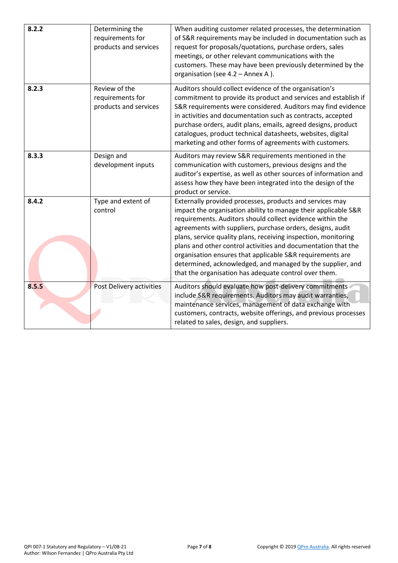| 8.2.2 | Determining the<br>requirements for<br>products and services | When auditing customer related processes, the determination<br>of S&R requirements may be included in documentation such as<br>request for proposals/quotations, purchase orders, sales<br>meetings, or other relevant communications with the<br>customers. These may have been previously determined by the<br>organisation (see 4.2 - Annex A).                                                                                                                                                                                                                           |
|-------|--------------------------------------------------------------|------------------------------------------------------------------------------------------------------------------------------------------------------------------------------------------------------------------------------------------------------------------------------------------------------------------------------------------------------------------------------------------------------------------------------------------------------------------------------------------------------------------------------------------------------------------------------|
| 8.2.3 | Review of the<br>requirements for<br>products and services   | Auditors should collect evidence of the organisation's<br>commitment to provide its product and services and establish if<br>S&R requirements were considered. Auditors may find evidence<br>in activities and documentation such as contracts, accepted<br>purchase orders, audit plans, emails, agreed designs, product<br>catalogues, product technical datasheets, websites, digital<br>marketing and other forms of agreements with customers.                                                                                                                          |
| 8.3.3 | Design and<br>development inputs                             | Auditors may review S&R requirements mentioned in the<br>communication with customers, previous designs and the<br>auditor's expertise, as well as other sources of information and<br>assess how they have been integrated into the design of the<br>product or service.                                                                                                                                                                                                                                                                                                    |
| 8.4.2 | Type and extent of<br>control                                | Externally provided processes, products and services may<br>impact the organisation ability to manage their applicable S&R<br>requirements. Auditors should collect evidence within the<br>agreements with suppliers, purchase orders, designs, audit<br>plans, service quality plans, receiving inspection, monitoring<br>plans and other control activities and documentation that the<br>organisation ensures that applicable S&R requirements are<br>determined, acknowledged, and managed by the supplier, and<br>that the organisation has adequate control over them. |
| 8.5.5 | Post Delivery activities                                     | Auditors should evaluate how post-delivery commitments<br>include S&R requirements. Auditors may audit warranties,<br>maintenance services, management of data exchange with<br>customers, contracts, website offerings, and previous processes<br>related to sales, design, and suppliers.                                                                                                                                                                                                                                                                                  |